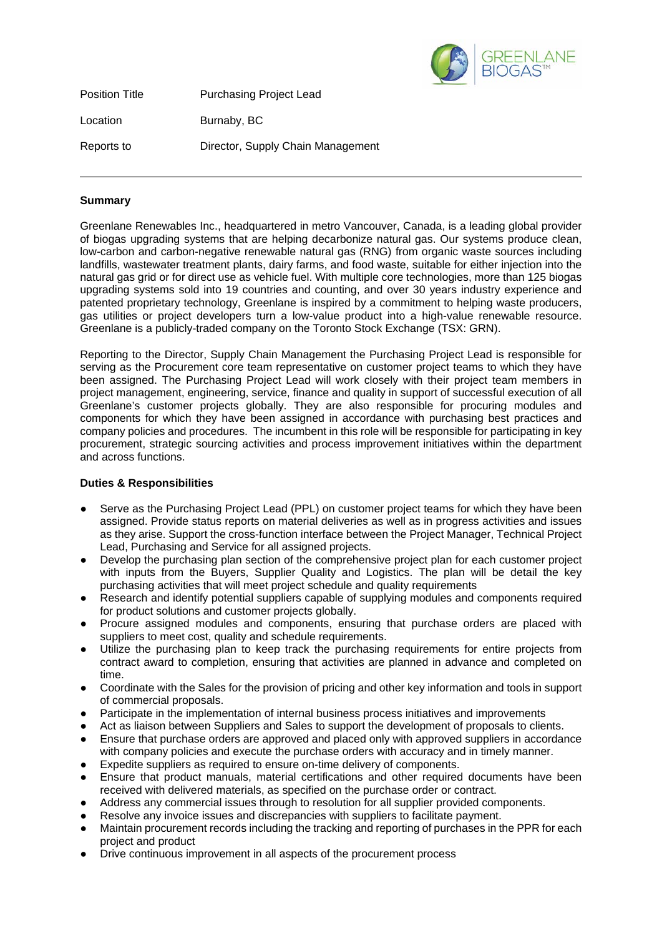

| <b>Position Title</b> | <b>Purchasing Project Lead</b>    |
|-----------------------|-----------------------------------|
| Location              | Burnaby, BC                       |
| Reports to            | Director, Supply Chain Management |

## **Summary**

Greenlane Renewables Inc., headquartered in metro Vancouver, Canada, is a leading global provider of biogas upgrading systems that are helping decarbonize natural gas. Our systems produce clean, low-carbon and carbon-negative renewable natural gas (RNG) from organic waste sources including landfills, wastewater treatment plants, dairy farms, and food waste, suitable for either injection into the natural gas grid or for direct use as vehicle fuel. With multiple core technologies, more than 125 biogas upgrading systems sold into 19 countries and counting, and over 30 years industry experience and patented proprietary technology, Greenlane is inspired by a commitment to helping waste producers, gas utilities or project developers turn a low-value product into a high-value renewable resource. Greenlane is a publicly-traded company on the Toronto Stock Exchange (TSX: GRN).

Reporting to the Director, Supply Chain Management the Purchasing Project Lead is responsible for serving as the Procurement core team representative on customer project teams to which they have been assigned. The Purchasing Project Lead will work closely with their project team members in project management, engineering, service, finance and quality in support of successful execution of all Greenlane's customer projects globally. They are also responsible for procuring modules and components for which they have been assigned in accordance with purchasing best practices and company policies and procedures. The incumbent in this role will be responsible for participating in key procurement, strategic sourcing activities and process improvement initiatives within the department and across functions.

## **Duties & Responsibilities**

- Serve as the Purchasing Project Lead (PPL) on customer project teams for which they have been assigned. Provide status reports on material deliveries as well as in progress activities and issues as they arise. Support the cross-function interface between the Project Manager, Technical Project Lead, Purchasing and Service for all assigned projects.
- Develop the purchasing plan section of the comprehensive project plan for each customer project with inputs from the Buyers, Supplier Quality and Logistics. The plan will be detail the key purchasing activities that will meet project schedule and quality requirements
- Research and identify potential suppliers capable of supplying modules and components required for product solutions and customer projects globally.
- Procure assigned modules and components, ensuring that purchase orders are placed with suppliers to meet cost, quality and schedule requirements.
- Utilize the purchasing plan to keep track the purchasing requirements for entire projects from contract award to completion, ensuring that activities are planned in advance and completed on time.
- Coordinate with the Sales for the provision of pricing and other key information and tools in support of commercial proposals.
- Participate in the implementation of internal business process initiatives and improvements
- Act as liaison between Suppliers and Sales to support the development of proposals to clients.
- Ensure that purchase orders are approved and placed only with approved suppliers in accordance with company policies and execute the purchase orders with accuracy and in timely manner.
- Expedite suppliers as required to ensure on-time delivery of components.
- Ensure that product manuals, material certifications and other required documents have been received with delivered materials, as specified on the purchase order or contract.
- Address any commercial issues through to resolution for all supplier provided components.
- Resolve any invoice issues and discrepancies with suppliers to facilitate payment.
- Maintain procurement records including the tracking and reporting of purchases in the PPR for each project and product
- Drive continuous improvement in all aspects of the procurement process